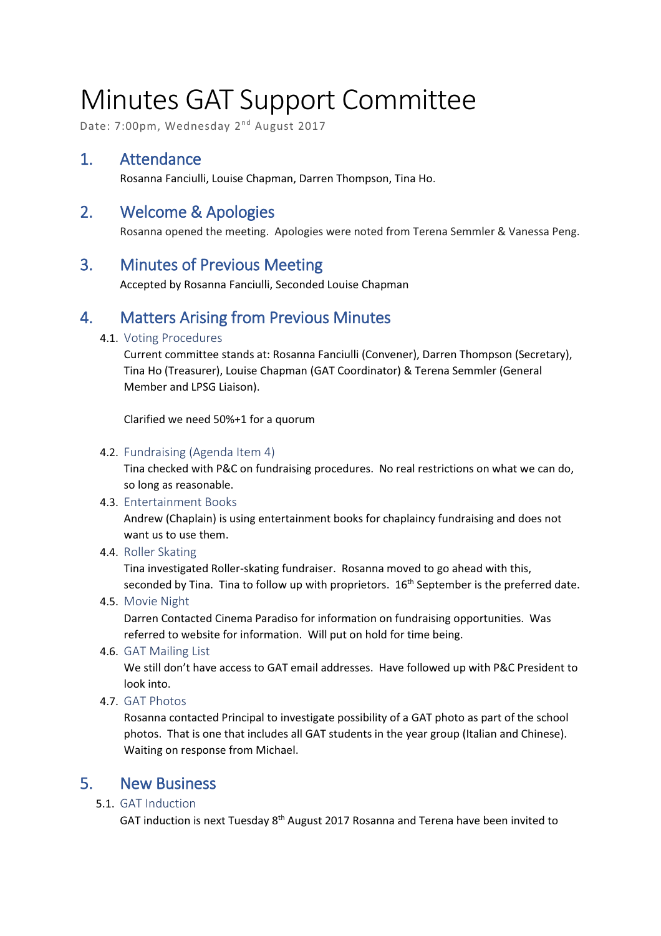# Minutes GAT Support Committee

Date: 7:00pm, Wednesday 2nd August 2017

## 1. Attendance

Rosanna Fanciulli, Louise Chapman, Darren Thompson, Tina Ho.

## 2. Welcome & Apologies

Rosanna opened the meeting. Apologies were noted from Terena Semmler & Vanessa Peng.

### 3. Minutes of Previous Meeting

Accepted by Rosanna Fanciulli, Seconded Louise Chapman

## 4. Matters Arising from Previous Minutes

#### 4.1. Voting Procedures

Current committee stands at: Rosanna Fanciulli (Convener), Darren Thompson (Secretary), Tina Ho (Treasurer), Louise Chapman (GAT Coordinator) & Terena Semmler (General Member and LPSG Liaison).

Clarified we need 50%+1 for a quorum

#### 4.2. Fundraising (Agenda Item 4)

Tina checked with P&C on fundraising procedures. No real restrictions on what we can do, so long as reasonable.

4.3. Entertainment Books

Andrew (Chaplain) is using entertainment books for chaplaincy fundraising and does not want us to use them.

4.4. Roller Skating

Tina investigated Roller-skating fundraiser. Rosanna moved to go ahead with this, seconded by Tina. Tina to follow up with proprietors.  $16<sup>th</sup>$  September is the preferred date.

4.5. Movie Night

Darren Contacted Cinema Paradiso for information on fundraising opportunities. Was referred to website for information. Will put on hold for time being.

4.6. GAT Mailing List

We still don't have access to GAT email addresses. Have followed up with P&C President to look into.

4.7. GAT Photos

Rosanna contacted Principal to investigate possibility of a GAT photo as part of the school photos. That is one that includes all GAT students in the year group (Italian and Chinese). Waiting on response from Michael.

## 5. New Business

5.1. GAT Induction

GAT induction is next Tuesday  $8<sup>th</sup>$  August 2017 Rosanna and Terena have been invited to